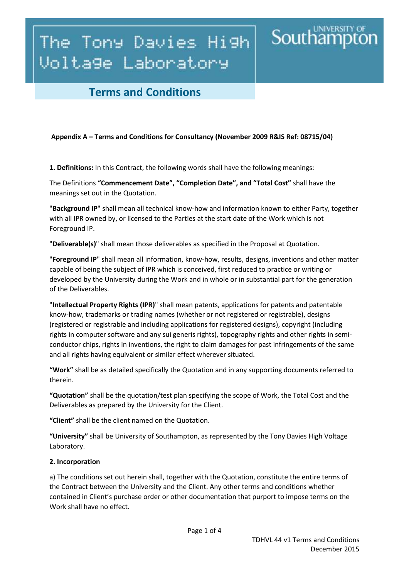# The Tony Davies High Voltage Laboratory

### **Terms and Conditions**

#### **Appendix A – Terms and Conditions for Consultancy (November 2009 R&IS Ref: 08715/04)**

**1. Definitions:** In this Contract, the following words shall have the following meanings:

The Definitions **"Commencement Date", "Completion Date", and "Total Cost"** shall have the meanings set out in the Quotation.

"**Background IP**" shall mean all technical know-how and information known to either Party, together with all IPR owned by, or licensed to the Parties at the start date of the Work which is not Foreground IP.

"**Deliverable(s)**" shall mean those deliverables as specified in the Proposal at Quotation.

"**Foreground IP**" shall mean all information, know-how, results, designs, inventions and other matter capable of being the subject of IPR which is conceived, first reduced to practice or writing or developed by the University during the Work and in whole or in substantial part for the generation of the Deliverables.

"**Intellectual Property Rights (IPR)**" shall mean patents, applications for patents and patentable know-how, trademarks or trading names (whether or not registered or registrable), designs (registered or registrable and including applications for registered designs), copyright (including rights in computer software and any sui generis rights), topography rights and other rights in semiconductor chips, rights in inventions, the right to claim damages for past infringements of the same and all rights having equivalent or similar effect wherever situated.

**"Work"** shall be as detailed specifically the Quotation and in any supporting documents referred to therein.

**"Quotation"** shall be the quotation/test plan specifying the scope of Work, the Total Cost and the Deliverables as prepared by the University for the Client.

**"Client"** shall be the client named on the Quotation.

**"University"** shall be University of Southampton, as represented by the Tony Davies High Voltage Laboratory.

#### **2. Incorporation**

a) The conditions set out herein shall, together with the Quotation, constitute the entire terms of the Contract between the University and the Client. Any other terms and conditions whether contained in Client's purchase order or other documentation that purport to impose terms on the Work shall have no effect.

**Southamp**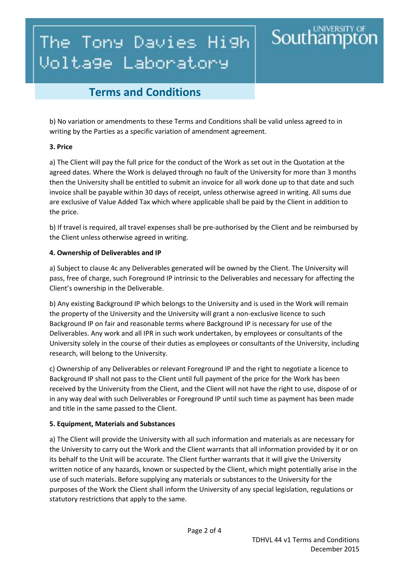# The Tony Davies High Voltage Laboratory

## **Terms and Conditions**

b) No variation or amendments to these Terms and Conditions shall be valid unless agreed to in writing by the Parties as a specific variation of amendment agreement.

### **3. Price**

a) The Client will pay the full price for the conduct of the Work as set out in the Quotation at the agreed dates. Where the Work is delayed through no fault of the University for more than 3 months then the University shall be entitled to submit an invoice for all work done up to that date and such invoice shall be payable within 30 days of receipt, unless otherwise agreed in writing. All sums due are exclusive of Value Added Tax which where applicable shall be paid by the Client in addition to the price.

b) If travel is required, all travel expenses shall be pre-authorised by the Client and be reimbursed by the Client unless otherwise agreed in writing.

### **4. Ownership of Deliverables and IP**

a) Subject to clause 4c any Deliverables generated will be owned by the Client. The University will pass, free of charge, such Foreground IP intrinsic to the Deliverables and necessary for affecting the Client's ownership in the Deliverable.

b) Any existing Background IP which belongs to the University and is used in the Work will remain the property of the University and the University will grant a non-exclusive licence to such Background IP on fair and reasonable terms where Background IP is necessary for use of the Deliverables. Any work and all IPR in such work undertaken, by employees or consultants of the University solely in the course of their duties as employees or consultants of the University, including research, will belong to the University.

c) Ownership of any Deliverables or relevant Foreground IP and the right to negotiate a licence to Background IP shall not pass to the Client until full payment of the price for the Work has been received by the University from the Client, and the Client will not have the right to use, dispose of or in any way deal with such Deliverables or Foreground IP until such time as payment has been made and title in the same passed to the Client.

### **5. Equipment, Materials and Substances**

a) The Client will provide the University with all such information and materials as are necessary for the University to carry out the Work and the Client warrants that all information provided by it or on its behalf to the Unit will be accurate. The Client further warrants that it will give the University written notice of any hazards, known or suspected by the Client, which might potentially arise in the use of such materials. Before supplying any materials or substances to the University for the purposes of the Work the Client shall inform the University of any special legislation, regulations or statutory restrictions that apply to the same.

**Southamp**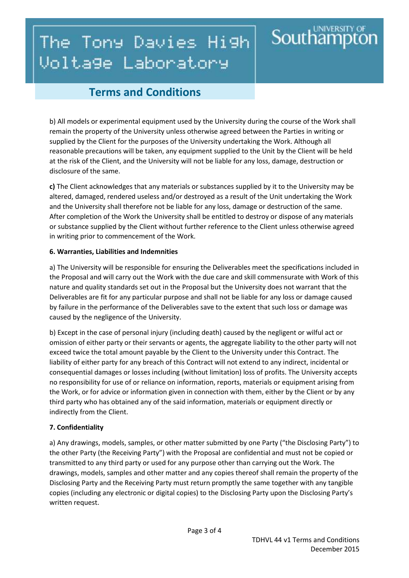# **Southampto** The Tony Davies High Voltage Laboratory

## **Terms and Conditions**

b) All models or experimental equipment used by the University during the course of the Work shall remain the property of the University unless otherwise agreed between the Parties in writing or supplied by the Client for the purposes of the University undertaking the Work. Although all reasonable precautions will be taken, any equipment supplied to the Unit by the Client will be held at the risk of the Client, and the University will not be liable for any loss, damage, destruction or disclosure of the same.

**c)** The Client acknowledges that any materials or substances supplied by it to the University may be altered, damaged, rendered useless and/or destroyed as a result of the Unit undertaking the Work and the University shall therefore not be liable for any loss, damage or destruction of the same. After completion of the Work the University shall be entitled to destroy or dispose of any materials or substance supplied by the Client without further reference to the Client unless otherwise agreed in writing prior to commencement of the Work.

### **6. Warranties, Liabilities and Indemnities**

a) The University will be responsible for ensuring the Deliverables meet the specifications included in the Proposal and will carry out the Work with the due care and skill commensurate with Work of this nature and quality standards set out in the Proposal but the University does not warrant that the Deliverables are fit for any particular purpose and shall not be liable for any loss or damage caused by failure in the performance of the Deliverables save to the extent that such loss or damage was caused by the negligence of the University.

b) Except in the case of personal injury (including death) caused by the negligent or wilful act or omission of either party or their servants or agents, the aggregate liability to the other party will not exceed twice the total amount payable by the Client to the University under this Contract. The liability of either party for any breach of this Contract will not extend to any indirect, incidental or consequential damages or losses including (without limitation) loss of profits. The University accepts no responsibility for use of or reliance on information, reports, materials or equipment arising from the Work, or for advice or information given in connection with them, either by the Client or by any third party who has obtained any of the said information, materials or equipment directly or indirectly from the Client.

### **7. Confidentiality**

a) Any drawings, models, samples, or other matter submitted by one Party ("the Disclosing Party") to the other Party (the Receiving Party") with the Proposal are confidential and must not be copied or transmitted to any third party or used for any purpose other than carrying out the Work. The drawings, models, samples and other matter and any copies thereof shall remain the property of the Disclosing Party and the Receiving Party must return promptly the same together with any tangible copies (including any electronic or digital copies) to the Disclosing Party upon the Disclosing Party's written request.